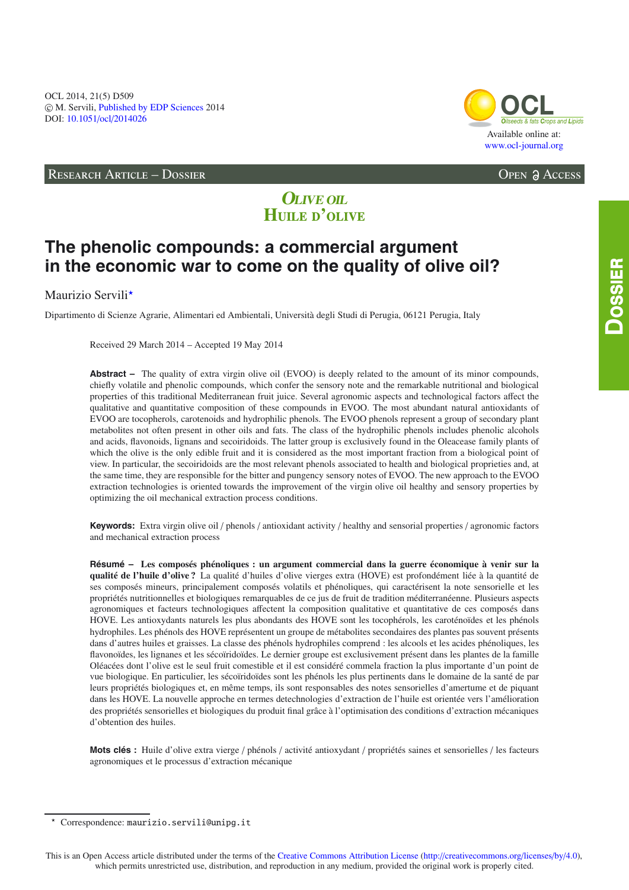### RESEARCH ARTICLE – DOSSIER Open Access

# Available online at: [www.ocl-journal.org](http://www.ocl-journal.org) **[OCL](http://www.ocl-journal.org)** *Oilseeds & fats Crops and Lipids*

# **OLIVE OIL H**uile d**'**olive

# **The phenolic compounds: a commercial argument in the economic war to come on the quality of olive oil?**

## Maurizio Servili<sup>\*</sup>

Dipartimento di Scienze Agrarie, Alimentari ed Ambientali, Università degli Studi di Perugia, 06121 Perugia, Italy

Received 29 March 2014 – Accepted 19 May 2014

**Abstract –** The quality of extra virgin olive oil (EVOO) is deeply related to the amount of its minor compounds, chiefly volatile and phenolic compounds, which confer the sensory note and the remarkable nutritional and biological properties of this traditional Mediterranean fruit juice. Several agronomic aspects and technological factors affect the qualitative and quantitative composition of these compounds in EVOO. The most abundant natural antioxidants of EVOO are tocopherols, carotenoids and hydrophilic phenols. The EVOO phenols represent a group of secondary plant metabolites not often present in other oils and fats. The class of the hydrophilic phenols includes phenolic alcohols and acids, flavonoids, lignans and secoiridoids. The latter group is exclusively found in the Oleacease family plants of which the olive is the only edible fruit and it is considered as the most important fraction from a biological point of view. In particular, the secoiridoids are the most relevant phenols associated to health and biological proprieties and, at the same time, they are responsible for the bitter and pungency sensory notes of EVOO. The new approach to the EVOO extraction technologies is oriented towards the improvement of the virgin olive oil healthy and sensory properties by optimizing the oil mechanical extraction process conditions.

**Keywords:** Extra virgin olive oil / phenols / antioxidant activity / healthy and sensorial properties / agronomic factors and mechanical extraction process

**Résumé – Les composés phénoliques : un argument commercial dans la guerre économique à venir sur la qualité de l'huile d'olive ?** La qualité d'huiles d'olive vierges extra (HOVE) est profondément liée à la quantité de ses composés mineurs, principalement composés volatils et phénoliques, qui caractérisent la note sensorielle et les propriétés nutritionnelles et biologiques remarquables de ce jus de fruit de tradition méditerranéenne. Plusieurs aspects agronomiques et facteurs technologiques affectent la composition qualitative et quantitative de ces composés dans HOVE. Les antioxydants naturels les plus abondants des HOVE sont les tocophérols, les caroténoïdes et les phénols hydrophiles. Les phénols des HOVE représentent un groupe de métabolites secondaires des plantes pas souvent présents dans d'autres huiles et graisses. La classe des phénols hydrophiles comprend : les alcools et les acides phénoliques, les flavonoïdes, les lignanes et les sécoïridoïdes. Le dernier groupe est exclusivement présent dans les plantes de la famille Oléacées dont l'olive est le seul fruit comestible et il est considéré commela fraction la plus importante d'un point de vue biologique. En particulier, les sécoïridoïdes sont les phénols les plus pertinents dans le domaine de la santé de par leurs propriétés biologiques et, en même temps, ils sont responsables des notes sensorielles d'amertume et de piquant dans les HOVE. La nouvelle approche en termes detechnologies d'extraction de l'huile est orientée vers l'amélioration des propriétés sensorielles et biologiques du produit final grâce à l'optimisation des conditions d'extraction mécaniques d'obtention des huiles.

**Mots clés :** Huile d'olive extra vierge / phénols / activité antioxydant / propriétés saines et sensorielles / les facteurs agronomiques et le processus d'extraction mécanique

 $\star$ Correspondence: maurizio.servili@unipg.it

This is an Open Access article distributed under the terms of the [Creative Commons Attribution License](http://creativecommons.org/licenses/by/4.0/) (http://[creativecommons.org](http://creativecommons.org/licenses/by/4.0)/licenses/by/4.0), which permits unrestricted use, distribution, and reproduction in any medium, provided the original work is properly cited.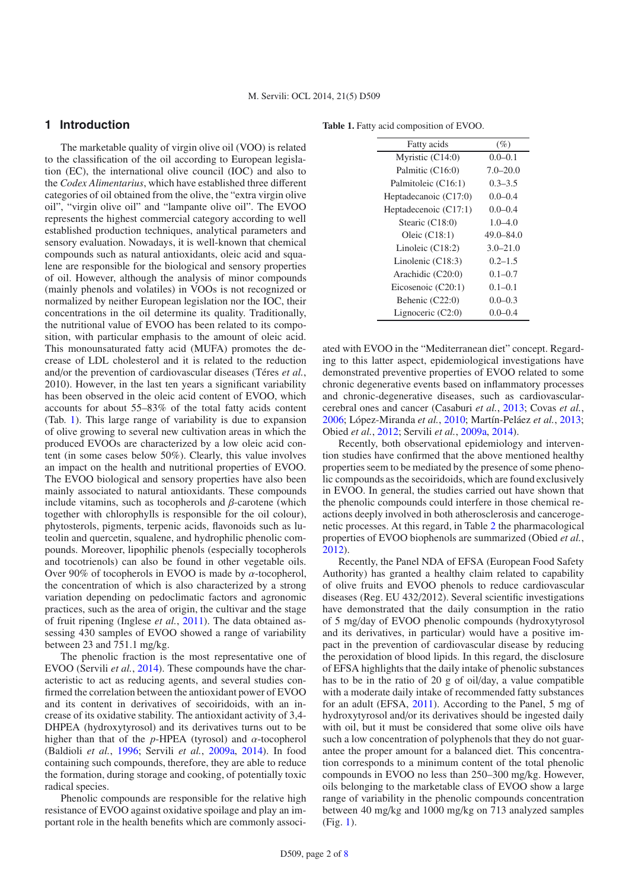#### **1 Introduction**

The marketable quality of virgin olive oil (VOO) is related to the classification of the oil according to European legislation (EC), the international olive council (IOC) and also to the *Codex Alimentarius*, which have established three different categories of oil obtained from the olive, the "extra virgin olive oil", "virgin olive oil" and "lampante olive oil". The EVOO represents the highest commercial category according to well established production techniques, analytical parameters and sensory evaluation. Nowadays, it is well-known that chemical compounds such as natural antioxidants, oleic acid and squalene are responsible for the biological and sensory properties of oil. However, although the analysis of minor compounds (mainly phenols and volatiles) in VOOs is not recognized or normalized by neither European legislation nor the IOC, their concentrations in the oil determine its quality. Traditionally, the nutritional value of EVOO has been related to its composition, with particular emphasis to the amount of oleic acid. This monounsaturated fatty acid (MUFA) promotes the decrease of LDL cholesterol and it is related to the reduction and/or the prevention of cardiovascular diseases (Téres *et al.*, 2010). However, in the last ten years a significant variability has been observed in the oleic acid content of EVOO, which accounts for about 55–83% of the total fatty acids content (Tab. [1\)](#page-1-0). This large range of variability is due to expansion of olive growing to several new cultivation areas in which the produced EVOOs are characterized by a low oleic acid content (in some cases below 50%). Clearly, this value involves an impact on the health and nutritional properties of EVOO. The EVOO biological and sensory properties have also been mainly associated to natural antioxidants. These compounds include vitamins, such as to copherols and  $\beta$ -carotene (which together with chlorophylls is responsible for the oil colour), phytosterols, pigments, terpenic acids, flavonoids such as luteolin and quercetin, squalene, and hydrophilic phenolic compounds. Moreover, lipophilic phenols (especially tocopherols and tocotrienols) can also be found in other vegetable oils. Over 90% of tocopherols in EVOO is made by  $\alpha$ -tocopherol, the concentration of which is also characterized by a strong variation depending on pedoclimatic factors and agronomic practices, such as the area of origin, the cultivar and the stage of fruit ripening (Inglese *et al.*, [2011\)](#page-6-0). The data obtained assessing 430 samples of EVOO showed a range of variability between 23 and 751.1 mg/kg.

The phenolic fraction is the most representative one of EVOO (Servili *et al.*, [2014](#page-6-1)). These compounds have the characteristic to act as reducing agents, and several studies confirmed the correlation between the antioxidant power of EVOO and its content in derivatives of secoiridoids, with an increase of its oxidative stability. The antioxidant activity of 3,4- DHPEA (hydroxytyrosol) and its derivatives turns out to be higher than that of the  $p$ -HPEA (tyrosol) and  $\alpha$ -tocopherol (Baldioli *et al.*, [1996;](#page-5-0) Servili *et al.*, [2009a](#page-6-2), [2014\)](#page-6-1). In food containing such compounds, therefore, they are able to reduce the formation, during storage and cooking, of potentially toxic radical species.

Phenolic compounds are responsible for the relative high resistance of EVOO against oxidative spoilage and play an important role in the health benefits which are commonly associ-

<span id="page-1-0"></span>**Table 1.** Fatty acid composition of EVOO.

| Fatty acids           | (%)           |
|-----------------------|---------------|
| Myristic (C14:0)      | $0.0 - 0.1$   |
| Palmitic (C16:0)      | $7.0 - 20.0$  |
| Palmitoleic (C16:1)   | $0.3 - 3.5$   |
| Heptadecanoic (C17:0) | $0.0 - 0.4$   |
| Heptadecenoic (C17:1) | $0.0 - 0.4$   |
| Stearic (C18:0)       | $1.0 - 4.0$   |
| Oleic $(C18:1)$       | $49.0 - 84.0$ |
| Linoleic $(C18:2)$    | $3.0 - 21.0$  |
| Linolenic $(C18:3)$   | $0.2 - 1.5$   |
| Arachidic (C20:0)     | $0.1 - 0.7$   |
| Eicosenoic $(C20:1)$  | $0.1 - 0.1$   |
| Behenic (C22:0)       | $0.0 - 0.3$   |
| Lignoceric $(C2:0)$   | $0.0 - 0.4$   |

ated with EVOO in the "Mediterranean diet" concept. Regarding to this latter aspect, epidemiological investigations have demonstrated preventive properties of EVOO related to some chronic degenerative events based on inflammatory processes and chronic-degenerative diseases, such as cardiovascularcerebral ones and cancer (Casaburi *et al.*, [2013](#page-5-1); Covas *et al.*, [2006;](#page-6-3) López-Miranda *et al.*, [2010;](#page-6-4) Martín-Peláez *et al.*, [2013;](#page-6-5) Obied *et al.*, [2012](#page-6-6); Servili *et al.*, [2009a,](#page-6-2) [2014\)](#page-6-1).

Recently, both observational epidemiology and intervention studies have confirmed that the above mentioned healthy properties seem to be mediated by the presence of some phenolic compounds as the secoiridoids, which are found exclusively in EVOO. In general, the studies carried out have shown that the phenolic compounds could interfere in those chemical reactions deeply involved in both atherosclerosis and cancerogenetic processes. At this regard, in Table [2](#page-2-0) the pharmacological properties of EVOO biophenols are summarized (Obied *et al.*, [2012\)](#page-6-6).

Recently, the Panel NDA of EFSA (European Food Safety Authority) has granted a healthy claim related to capability of olive fruits and EVOO phenols to reduce cardiovascular diseases (Reg. EU 432/2012). Several scientific investigations have demonstrated that the daily consumption in the ratio of 5 mg/day of EVOO phenolic compounds (hydroxytyrosol and its derivatives, in particular) would have a positive impact in the prevention of cardiovascular disease by reducing the peroxidation of blood lipids. In this regard, the disclosure of EFSA highlights that the daily intake of phenolic substances has to be in the ratio of 20 g of oil/day, a value compatible with a moderate daily intake of recommended fatty substances for an adult (EFSA, [2011\)](#page-6-7). According to the Panel, 5 mg of hydroxytyrosol and/or its derivatives should be ingested daily with oil, but it must be considered that some olive oils have such a low concentration of polyphenols that they do not guarantee the proper amount for a balanced diet. This concentration corresponds to a minimum content of the total phenolic compounds in EVOO no less than 250–300 mg/kg. However, oils belonging to the marketable class of EVOO show a large range of variability in the phenolic compounds concentration between 40 mg/kg and 1000 mg/kg on 713 analyzed samples (Fig. [1\)](#page-3-0).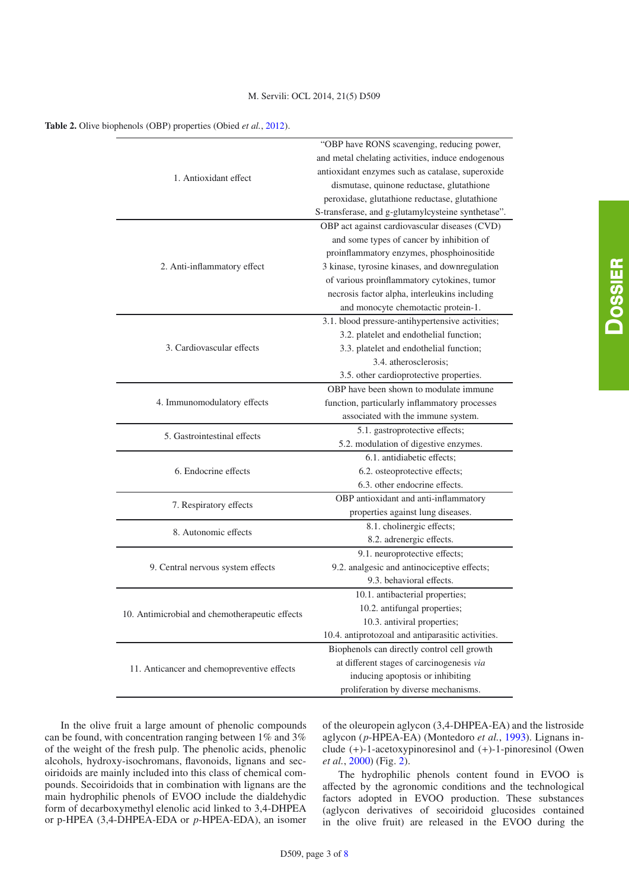#### M. Servili: OCL 2014, 21(5) D509

| 1. Antioxidant effect                          | "OBP have RONS scavenging, reducing power,<br>and metal chelating activities, induce endogenous<br>antioxidant enzymes such as catalase, superoxide<br>dismutase, quinone reductase, glutathione<br>peroxidase, glutathione reductase, glutathione<br>S-transferase, and g-glutamylcysteine synthetase".                         |
|------------------------------------------------|----------------------------------------------------------------------------------------------------------------------------------------------------------------------------------------------------------------------------------------------------------------------------------------------------------------------------------|
| 2. Anti-inflammatory effect                    | OBP act against cardiovascular diseases (CVD)<br>and some types of cancer by inhibition of<br>proinflammatory enzymes, phosphoinositide<br>3 kinase, tyrosine kinases, and downregulation<br>of various proinflammatory cytokines, tumor<br>necrosis factor alpha, interleukins including<br>and monocyte chemotactic protein-1. |
| 3. Cardiovascular effects                      | 3.1. blood pressure-antihypertensive activities;<br>3.2. platelet and endothelial function;<br>3.3. platelet and endothelial function;<br>3.4. atherosclerosis:<br>3.5. other cardioprotective properties.                                                                                                                       |
| 4. Immunomodulatory effects                    | OBP have been shown to modulate immune<br>function, particularly inflammatory processes<br>associated with the immune system.                                                                                                                                                                                                    |
| 5. Gastrointestinal effects                    | 5.1. gastroprotective effects;<br>5.2. modulation of digestive enzymes.                                                                                                                                                                                                                                                          |
| 6. Endocrine effects                           | 6.1. antidiabetic effects;<br>6.2. osteoprotective effects;<br>6.3. other endocrine effects.                                                                                                                                                                                                                                     |
| 7. Respiratory effects                         | OBP antioxidant and anti-inflammatory<br>properties against lung diseases.                                                                                                                                                                                                                                                       |
| 8. Autonomic effects                           | 8.1. cholinergic effects;<br>8.2. adrenergic effects.                                                                                                                                                                                                                                                                            |
| 9. Central nervous system effects              | 9.1. neuroprotective effects;<br>9.2. analgesic and antinociceptive effects;<br>9.3. behavioral effects.                                                                                                                                                                                                                         |
| 10. Antimicrobial and chemotherapeutic effects | 10.1. antibacterial properties;<br>10.2. antifungal properties;<br>10.3. antiviral properties;<br>10.4. antiprotozoal and antiparasitic activities.                                                                                                                                                                              |
| 11. Anticancer and chemopreventive effects     | Biophenols can directly control cell growth<br>at different stages of carcinogenesis via<br>inducing apoptosis or inhibiting<br>proliferation by diverse mechanisms.                                                                                                                                                             |

<span id="page-2-0"></span>**Table 2.** Olive biophenols (OBP) properties (Obied *et al.*, [2012](#page-6-6)).

In the olive fruit a large amount of phenolic compounds can be found, with concentration ranging between 1% and 3% of the weight of the fresh pulp. The phenolic acids, phenolic alcohols, hydroxy-isochromans, flavonoids, lignans and secoiridoids are mainly included into this class of chemical compounds. Secoiridoids that in combination with lignans are the main hydrophilic phenols of EVOO include the dialdehydic form of decarboxymethyl elenolic acid linked to 3,4-DHPEA or p-HPEA (3,4-DHPEA-EDA or *p*-HPEA-EDA), an isomer of the oleuropein aglycon (3,4-DHPEA-EA) and the listroside aglycon (*p*-HPEA-EA) (Montedoro *et al.*, [1993\)](#page-6-8). Lignans include (+)-1-acetoxypinoresinol and (+)-1-pinoresinol (Owen *et al.*, [2000\)](#page-6-9) (Fig. [2\)](#page-3-1).

The hydrophilic phenols content found in EVOO is affected by the agronomic conditions and the technological factors adopted in EVOO production. These substances (aglycon derivatives of secoiridoid glucosides contained in the olive fruit) are released in the EVOO during the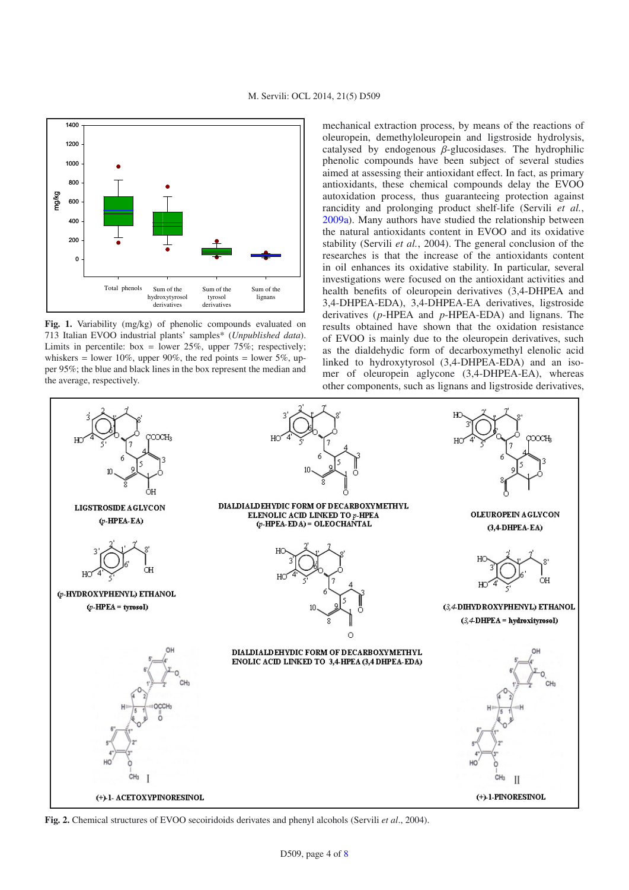

<span id="page-3-0"></span>

**Fig. 1.** Variability (mg/kg) of phenolic compounds evaluated on 713 Italian EVOO industrial plants' samples\* (*Unpublished data*). Limits in percentile: box = lower  $25\%$ , upper  $75\%$ ; respectively; whiskers = lower 10%, upper 90%, the red points = lower 5%, upper 95%; the blue and black lines in the box represent the median and the average, respectively.

mechanical extraction process, by means of the reactions of oleuropein, demethyloleuropein and ligstroside hydrolysis, catalysed by endogenous  $\beta$ -glucosidases. The hydrophilic phenolic compounds have been subject of several studies aimed at assessing their antioxidant effect. In fact, as primary antioxidants, these chemical compounds delay the EVOO autoxidation process, thus guaranteeing protection against rancidity and prolonging product shelf-life (Servili *et al.*, [2009a\)](#page-6-2). Many authors have studied the relationship between the natural antioxidants content in EVOO and its oxidative stability (Servili *et al.*, 2004). The general conclusion of the researches is that the increase of the antioxidants content in oil enhances its oxidative stability. In particular, several investigations were focused on the antioxidant activities and health benefits of oleuropein derivatives (3,4-DHPEA and 3,4-DHPEA-EDA), 3,4-DHPEA-EA derivatives, ligstroside derivatives (*p*-HPEA and *p*-HPEA-EDA) and lignans. The results obtained have shown that the oxidation resistance of EVOO is mainly due to the oleuropein derivatives, such as the dialdehydic form of decarboxymethyl elenolic acid linked to hydroxytyrosol (3,4-DHPEA-EDA) and an isomer of oleuropein aglycone (3,4-DHPEA-EA), whereas other components, such as lignans and ligstroside derivatives,



<span id="page-3-1"></span>**Fig. 2.** Chemical structures of EVOO secoiridoids derivates and phenyl alcohols (Servili *et al*., 2004).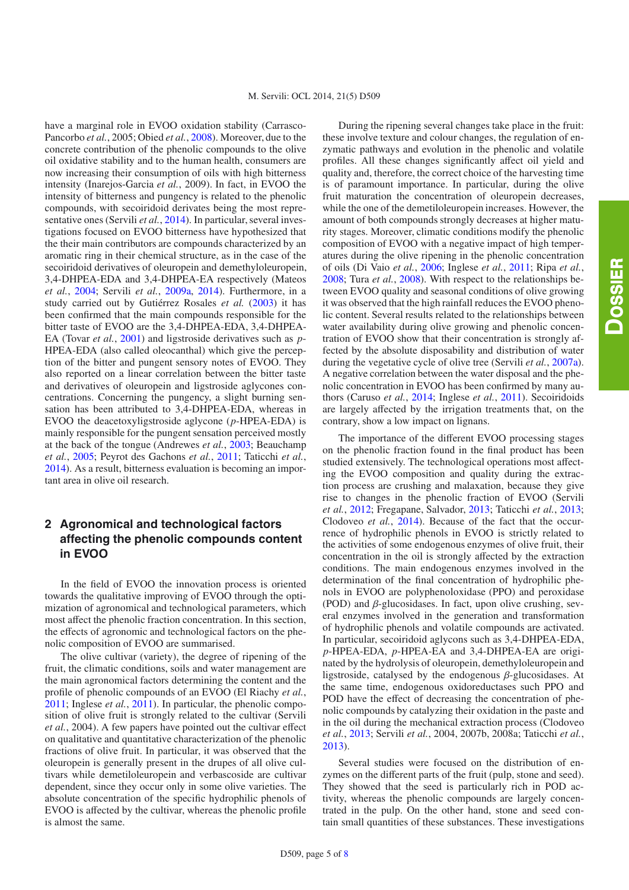have a marginal role in EVOO oxidation stability (Carrasco-Pancorbo *et al.*, 2005; Obied *et al.*, [2008\)](#page-6-10). Moreover, due to the concrete contribution of the phenolic compounds to the olive oil oxidative stability and to the human health, consumers are now increasing their consumption of oils with high bitterness intensity (Inarejos-Garcia *et al.*, 2009). In fact, in EVOO the intensity of bitterness and pungency is related to the phenolic compounds, with secoiridoid derivates being the most representative ones (Servili *et al.*, [2014\)](#page-6-1). In particular, several investigations focused on EVOO bitterness have hypothesized that the their main contributors are compounds characterized by an aromatic ring in their chemical structure, as in the case of the secoiridoid derivatives of oleuropein and demethyloleuropein, 3,4-DHPEA-EDA and 3,4-DHPEA-EA respectively (Mateos *et al.*, [2004;](#page-6-11) Servili *et al.*, [2009a,](#page-6-2) [2014](#page-6-1)). Furthermore, in a study carried out by Gutiérrez Rosales *et al.* [\(2003\)](#page-6-12) it has been confirmed that the main compounds responsible for the bitter taste of EVOO are the 3,4-DHPEA-EDA, 3,4-DHPEA-EA (Tovar *et al.*, [2001\)](#page-7-1) and ligstroside derivatives such as *p*-HPEA-EDA (also called oleocanthal) which give the perception of the bitter and pungent sensory notes of EVOO. They also reported on a linear correlation between the bitter taste and derivatives of oleuropein and ligstroside aglycones concentrations. Concerning the pungency, a slight burning sensation has been attributed to 3,4-DHPEA-EDA, whereas in EVOO the deacetoxyligstroside aglycone (*p*-HPEA-EDA) is mainly responsible for the pungent sensation perceived mostly at the back of the tongue (Andrewes *et al.*, [2003](#page-5-2); Beauchamp *et al.*, [2005;](#page-5-3) Peyrot des Gachons *et al.*, [2011;](#page-6-13) Taticchi *et al.*, [2014\)](#page-7-2). As a result, bitterness evaluation is becoming an important area in olive oil research.

### **2 Agronomical and technological factors affecting the phenolic compounds content in EVOO**

In the field of EVOO the innovation process is oriented towards the qualitative improving of EVOO through the optimization of agronomical and technological parameters, which most affect the phenolic fraction concentration. In this section, the effects of agronomic and technological factors on the phenolic composition of EVOO are summarised.

The olive cultivar (variety), the degree of ripening of the fruit, the climatic conditions, soils and water management are the main agronomical factors determining the content and the profile of phenolic compounds of an EVOO (El Riachy *et al.*, [2011;](#page-6-14) Inglese *et al.*, [2011\)](#page-6-0). In particular, the phenolic composition of olive fruit is strongly related to the cultivar (Servili *et al.*, 2004). A few papers have pointed out the cultivar effect on qualitative and quantitative characterization of the phenolic fractions of olive fruit. In particular, it was observed that the oleuropein is generally present in the drupes of all olive cultivars while demetiloleuropein and verbascoside are cultivar dependent, since they occur only in some olive varieties. The absolute concentration of the specific hydrophilic phenols of EVOO is affected by the cultivar, whereas the phenolic profile is almost the same.

During the ripening several changes take place in the fruit: these involve texture and colour changes, the regulation of enzymatic pathways and evolution in the phenolic and volatile profiles. All these changes significantly affect oil yield and quality and, therefore, the correct choice of the harvesting time is of paramount importance. In particular, during the olive fruit maturation the concentration of oleuropein decreases, while the one of the demetiloleuropein increases. However, the amount of both compounds strongly decreases at higher maturity stages. Moreover, climatic conditions modify the phenolic composition of EVOO with a negative impact of high temperatures during the olive ripening in the phenolic concentration of oils (Di Vaio *et al.*, [2006](#page-6-15); Inglese *et al.*, [2011;](#page-6-0) Ripa *et al.*, [2008;](#page-6-16) Tura *et al.*, [2008](#page-7-3)). With respect to the relationships between EVOO quality and seasonal conditions of olive growing it was observed that the high rainfall reduces the EVOO phenolic content. Several results related to the relationships between water availability during olive growing and phenolic concentration of EVOO show that their concentration is strongly affected by the absolute disposability and distribution of water during the vegetative cycle of olive tree (Servili *et al.*, [2007a\)](#page-7-4). A negative correlation between the water disposal and the phenolic concentration in EVOO has been confirmed by many authors (Caruso *et al.*, [2014;](#page-5-4) Inglese *et al.*, [2011\)](#page-6-0). Secoiridoids are largely affected by the irrigation treatments that, on the contrary, show a low impact on lignans.

The importance of the different EVOO processing stages on the phenolic fraction found in the final product has been studied extensively. The technological operations most affecting the EVOO composition and quality during the extraction process are crushing and malaxation, because they give rise to changes in the phenolic fraction of EVOO (Servili *et al.*, [2012](#page-6-17); Fregapane, Salvador, [2013;](#page-6-18) Taticchi *et al.*, [2013;](#page-7-5) Clodoveo *et al.*, [2014\)](#page-5-5). Because of the fact that the occurrence of hydrophilic phenols in EVOO is strictly related to the activities of some endogenous enzymes of olive fruit, their concentration in the oil is strongly affected by the extraction conditions. The main endogenous enzymes involved in the determination of the final concentration of hydrophilic phenols in EVOO are polyphenoloxidase (PPO) and peroxidase (POD) and  $\beta$ -glucosidases. In fact, upon olive crushing, several enzymes involved in the generation and transformation of hydrophilic phenols and volatile compounds are activated. In particular, secoiridoid aglycons such as 3,4-DHPEA-EDA, *p*-HPEA-EDA, *p*-HPEA-EA and 3,4-DHPEA-EA are originated by the hydrolysis of oleuropein, demethyloleuropein and ligstroside, catalysed by the endogenous  $\beta$ -glucosidases. At the same time, endogenous oxidoreductases such PPO and POD have the effect of decreasing the concentration of phenolic compounds by catalyzing their oxidation in the paste and in the oil during the mechanical extraction process (Clodoveo *et al.*, [2013;](#page-6-19) Servili *et al.*, 2004, 2007b, 2008a; Taticchi *et al.*, [2013\)](#page-7-5).

Several studies were focused on the distribution of enzymes on the different parts of the fruit (pulp, stone and seed). They showed that the seed is particularly rich in POD activity, whereas the phenolic compounds are largely concentrated in the pulp. On the other hand, stone and seed contain small quantities of these substances. These investigations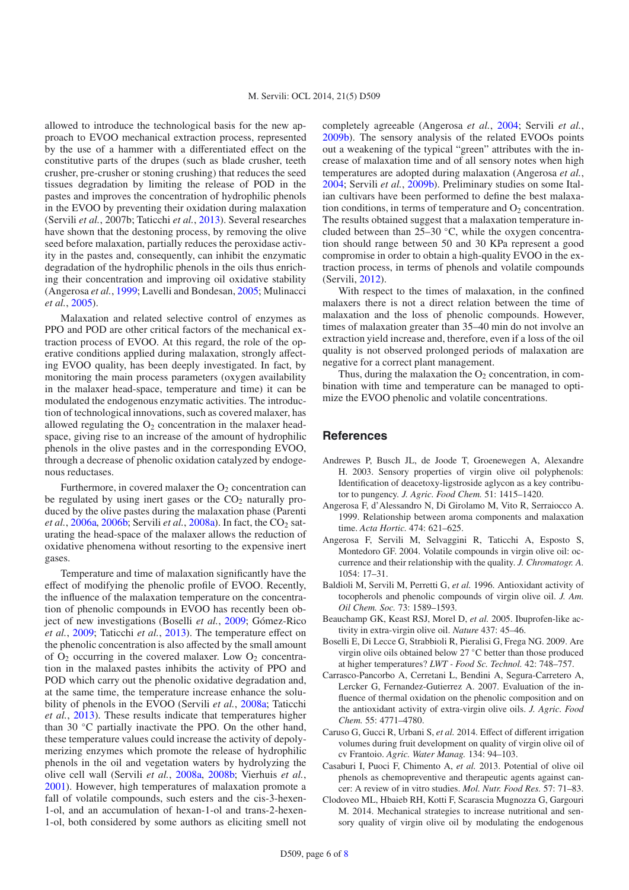allowed to introduce the technological basis for the new approach to EVOO mechanical extraction process, represented by the use of a hammer with a differentiated effect on the constitutive parts of the drupes (such as blade crusher, teeth crusher, pre-crusher or stoning crushing) that reduces the seed tissues degradation by limiting the release of POD in the pastes and improves the concentration of hydrophilic phenols in the EVOO by preventing their oxidation during malaxation (Servili *et al.*, 2007b; Taticchi *et al.*, [2013\)](#page-7-5). Several researches have shown that the destoning process, by removing the olive seed before malaxation, partially reduces the peroxidase activity in the pastes and, consequently, can inhibit the enzymatic degradation of the hydrophilic phenols in the oils thus enriching their concentration and improving oil oxidative stability (Angerosa *et al.*, [1999;](#page-5-6) Lavelli and Bondesan, [2005;](#page-6-20) Mulinacci *et al.*, [2005\)](#page-6-21).

Malaxation and related selective control of enzymes as PPO and POD are other critical factors of the mechanical extraction process of EVOO. At this regard, the role of the operative conditions applied during malaxation, strongly affecting EVOO quality, has been deeply investigated. In fact, by monitoring the main process parameters (oxygen availability in the malaxer head-space, temperature and time) it can be modulated the endogenous enzymatic activities. The introduction of technological innovations, such as covered malaxer, has allowed regulating the  $O_2$  concentration in the malaxer headspace, giving rise to an increase of the amount of hydrophilic phenols in the olive pastes and in the corresponding EVOO, through a decrease of phenolic oxidation catalyzed by endogenous reductases.

Furthermore, in covered malaxer the  $O<sub>2</sub>$  concentration can be regulated by using inert gases or the  $CO<sub>2</sub>$  naturally produced by the olive pastes during the malaxation phase (Parenti *et al.*, [2006a](#page-6-22), [2006b;](#page-6-23) Servili *et al.*, [2008a](#page-6-24)). In fact, the CO<sub>2</sub> saturating the head-space of the malaxer allows the reduction of oxidative phenomena without resorting to the expensive inert gases.

Temperature and time of malaxation significantly have the effect of modifying the phenolic profile of EVOO. Recently, the influence of the malaxation temperature on the concentration of phenolic compounds in EVOO has recently been object of new investigations (Boselli *et al.*, [2009;](#page-5-7) Gómez-Rico *et al.*, [2009;](#page-6-25) Taticchi *et al.*, [2013](#page-7-5)). The temperature effect on the phenolic concentration is also affected by the small amount of  $O_2$  occurring in the covered malaxer. Low  $O_2$  concentration in the malaxed pastes inhibits the activity of PPO and POD which carry out the phenolic oxidative degradation and, at the same time, the temperature increase enhance the solubility of phenols in the EVOO (Servili *et al.*, [2008a](#page-6-24); Taticchi *et al.*, [2013\)](#page-7-5). These results indicate that temperatures higher than 30 ◦C partially inactivate the PPO. On the other hand, these temperature values could increase the activity of depolymerizing enzymes which promote the release of hydrophilic phenols in the oil and vegetation waters by hydrolyzing the olive cell wall (Servili *et al.*, [2008a,](#page-6-24) [2008b;](#page-6-26) Vierhuis *et al.*, [2001\)](#page-7-6). However, high temperatures of malaxation promote a fall of volatile compounds, such esters and the cis-3-hexen-1-ol, and an accumulation of hexan-1-ol and trans-2-hexen-1-ol, both considered by some authors as eliciting smell not completely agreeable (Angerosa *et al.*, [2004;](#page-5-8) Servili *et al.*, [2009b\)](#page-6-27). The sensory analysis of the related EVOOs points out a weakening of the typical "green" attributes with the increase of malaxation time and of all sensory notes when high temperatures are adopted during malaxation (Angerosa *et al.*, [2004;](#page-5-8) Servili *et al.*, [2009b\)](#page-6-27). Preliminary studies on some Italian cultivars have been performed to define the best malaxation conditions, in terms of temperature and  $O_2$  concentration. The results obtained suggest that a malaxation temperature included between than 25–30 ◦C, while the oxygen concentration should range between 50 and 30 KPa represent a good compromise in order to obtain a high-quality EVOO in the extraction process, in terms of phenols and volatile compounds (Servili, [2012](#page-6-17)).

With respect to the times of malaxation, in the confined malaxers there is not a direct relation between the time of malaxation and the loss of phenolic compounds. However, times of malaxation greater than 35–40 min do not involve an extraction yield increase and, therefore, even if a loss of the oil quality is not observed prolonged periods of malaxation are negative for a correct plant management.

Thus, during the malaxation the  $O_2$  concentration, in combination with time and temperature can be managed to optimize the EVOO phenolic and volatile concentrations.

#### **References**

- <span id="page-5-2"></span>Andrewes P, Busch JL, de Joode T, Groenewegen A, Alexandre H. 2003. Sensory properties of virgin olive oil polyphenols: Identification of deacetoxy-ligstroside aglycon as a key contributor to pungency. *J. Agric. Food Chem.* 51: 1415–1420.
- <span id="page-5-6"></span>Angerosa F, d'Alessandro N, Di Girolamo M, Vito R, Serraiocco A. 1999. Relationship between aroma components and malaxation time. *Acta Hortic.* 474: 621–625.
- <span id="page-5-8"></span>Angerosa F, Servili M, Selvaggini R, Taticchi A, Esposto S, Montedoro GF. 2004. Volatile compounds in virgin olive oil: occurrence and their relationship with the quality. *J. Chromatogr. A.* 1054: 17–31.
- <span id="page-5-0"></span>Baldioli M, Servili M, Perretti G, *et al.* 1996. Antioxidant activity of tocopherols and phenolic compounds of virgin olive oil. *J. Am. Oil Chem. Soc.* 73: 1589–1593.
- <span id="page-5-3"></span>Beauchamp GK, Keast RSJ, Morel D, *et al.* 2005. Ibuprofen-like activity in extra-virgin olive oil. *Nature* 437: 45–46.
- <span id="page-5-7"></span>Boselli E, Di Lecce G, Strabbioli R, Pieralisi G, Frega NG. 2009. Are virgin olive oils obtained below 27 ◦C better than those produced at higher temperatures? *LWT - Food Sc. Technol.* 42: 748–757.
- Carrasco-Pancorbo A, Cerretani L, Bendini A, Segura-Carretero A, Lercker G, Fernandez-Gutierrez A. 2007. Evaluation of the influence of thermal oxidation on the phenolic composition and on the antioxidant activity of extra-virgin olive oils. *J. Agric. Food Chem.* 55: 4771–4780.
- <span id="page-5-4"></span>Caruso G, Gucci R, Urbani S, *et al.* 2014. Effect of different irrigation volumes during fruit development on quality of virgin olive oil of cv Frantoio. *Agric. Water Manag.* 134: 94–103.
- <span id="page-5-1"></span>Casaburi I, Puoci F, Chimento A, *et al.* 2013. Potential of olive oil phenols as chemopreventive and therapeutic agents against cancer: A review of in vitro studies. *Mol. Nutr. Food Res.* 57: 71–83.
- <span id="page-5-5"></span>Clodoveo ML, Hbaieb RH, Kotti F, Scarascia Mugnozza G, Gargouri M. 2014. Mechanical strategies to increase nutritional and sensory quality of virgin olive oil by modulating the endogenous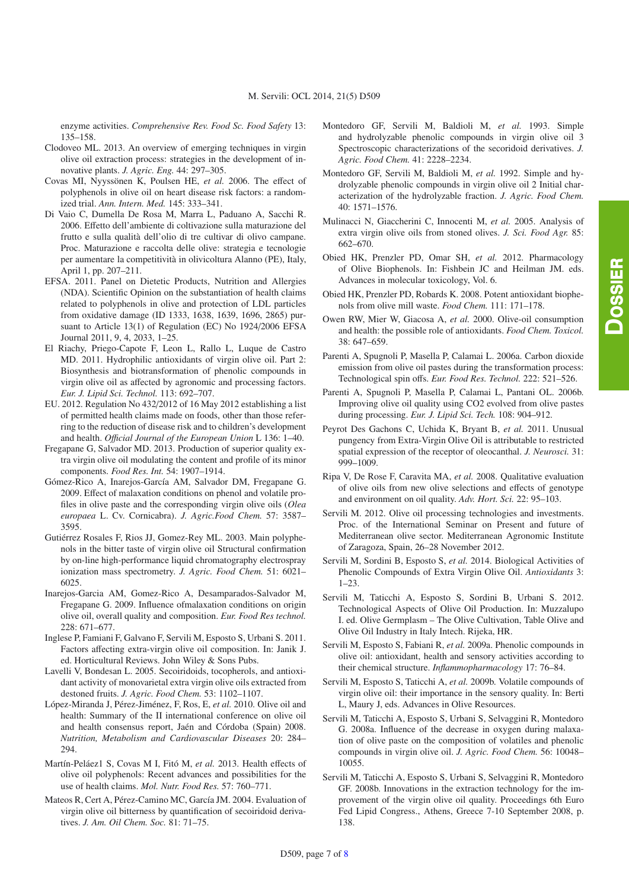enzyme activities. *Comprehensive Rev. Food Sc. Food Safety* 13: 135–158.

- <span id="page-6-19"></span>Clodoveo ML. 2013. An overview of emerging techniques in virgin olive oil extraction process: strategies in the development of innovative plants. *J. Agric. Eng.* 44: 297–305.
- <span id="page-6-3"></span>Covas MI, Nyyssönen K, Poulsen HE, *et al.* 2006. The effect of polyphenols in olive oil on heart disease risk factors: a randomized trial. *Ann. Intern. Med.* 145: 333–341.
- <span id="page-6-15"></span>Di Vaio C, Dumella De Rosa M, Marra L, Paduano A, Sacchi R. 2006. Effetto dell'ambiente di coltivazione sulla maturazione del frutto e sulla qualità dell'olio di tre cultivar di olivo campane. Proc. Maturazione e raccolta delle olive: strategia e tecnologie per aumentare la competitività in olivicoltura Alanno (PE), Italy, April 1, pp. 207–211.
- <span id="page-6-7"></span>EFSA. 2011. Panel on Dietetic Products, Nutrition and Allergies (NDA). Scientific Opinion on the substantiation of health claims related to polyphenols in olive and protection of LDL particles from oxidative damage (ID 1333, 1638, 1639, 1696, 2865) pursuant to Article 13(1) of Regulation (EC) No 1924/2006 EFSA Journal 2011, 9, 4, 2033, 1–25.
- <span id="page-6-14"></span>El Riachy, Priego-Capote F, Leon L, Rallo L, Luque de Castro MD. 2011. Hydrophilic antioxidants of virgin olive oil. Part 2: Biosynthesis and biotransformation of phenolic compounds in virgin olive oil as affected by agronomic and processing factors. *Eur. J. Lipid Sci. Technol.* 113: 692–707.
- EU. 2012. Regulation No 432/2012 of 16 May 2012 establishing a list of permitted health claims made on foods, other than those referring to the reduction of disease risk and to children's development and health. *O*ffi*cial Journal of the European Union* L 136: 1–40.
- <span id="page-6-18"></span>Fregapane G, Salvador MD. 2013. Production of superior quality extra virgin olive oil modulating the content and profile of its minor components. *Food Res. Int.* 54: 1907–1914.
- <span id="page-6-25"></span>Gómez-Rico A, Inarejos-García AM, Salvador DM, Fregapane G. 2009. Effect of malaxation conditions on phenol and volatile profiles in olive paste and the corresponding virgin olive oils (*Olea europaea* L. Cv. Cornicabra). *J. Agric.Food Chem.* 57: 3587– 3595.
- <span id="page-6-12"></span>Gutiérrez Rosales F, Rios JJ, Gomez-Rey ML. 2003. Main polyphenols in the bitter taste of virgin olive oil Structural confirmation by on-line high-performance liquid chromatography electrospray ionization mass spectrometry. *J. Agric. Food Chem.* 51: 6021– 6025.
- Inarejos-Garcia AM, Gomez-Rico A, Desamparados-Salvador M, Fregapane G. 2009. Influence ofmalaxation conditions on origin olive oil, overall quality and composition. *Eur. Food Res technol.* 228: 671–677.
- <span id="page-6-0"></span>Inglese P, Famiani F, Galvano F, Servili M, Esposto S, Urbani S. 2011. Factors affecting extra-virgin olive oil composition. In: Janik J. ed. Horticultural Reviews. John Wiley & Sons Pubs.
- <span id="page-6-20"></span>Lavelli V, Bondesan L. 2005. Secoiridoids, tocopherols, and antioxidant activity of monovarietal extra virgin olive oils extracted from destoned fruits. *J. Agric. Food Chem.* 53: 1102–1107.
- <span id="page-6-4"></span>López-Miranda J, Pérez-Jiménez, F, Ros, E, *et al.* 2010. Olive oil and health: Summary of the II international conference on olive oil and health consensus report, Jaén and Córdoba (Spain) 2008. *Nutrition, Metabolism and Cardiovascular Diseases* 20: 284– 294.
- <span id="page-6-5"></span>Martín-Peláez1 S, Covas M I, Fitó M, *et al.* 2013. Health effects of olive oil polyphenols: Recent advances and possibilities for the use of health claims. *Mol. Nutr. Food Res.* 57: 760–771.
- <span id="page-6-11"></span>Mateos R, Cert A, Pérez-Camino MC, García JM. 2004. Evaluation of virgin olive oil bitterness by quantification of secoiridoid derivatives. *J. Am. Oil Chem. Soc.* 81: 71–75.
- <span id="page-6-8"></span>Montedoro GF, Servili M, Baldioli M, *et al.* 1993. Simple and hydrolyzable phenolic compounds in virgin olive oil 3 Spectroscopic characterizations of the secoridoid derivatives. *J. Agric. Food Chem.* 41: 2228–2234.
- Montedoro GF, Servili M, Baldioli M, *et al.* 1992. Simple and hydrolyzable phenolic compounds in virgin olive oil 2 Initial characterization of the hydrolyzable fraction. *J. Agric. Food Chem.* 40: 1571–1576.
- <span id="page-6-21"></span>Mulinacci N, Giaccherini C, Innocenti M, *et al.* 2005. Analysis of extra virgin olive oils from stoned olives. *J. Sci. Food Agr.* 85: 662–670.
- <span id="page-6-6"></span>Obied HK, Prenzler PD, Omar SH, *et al.* 2012. Pharmacology of Olive Biophenols. In: Fishbein JC and Heilman JM. eds. Advances in molecular toxicology, Vol. 6.
- <span id="page-6-10"></span>Obied HK, Prenzler PD, Robards K. 2008. Potent antioxidant biophenols from olive mill waste. *Food Chem.* 111: 171–178.
- <span id="page-6-9"></span>Owen RW, Mier W, Giacosa A, *et al.* 2000. Olive-oil consumption and health: the possible role of antioxidants. *Food Chem. Toxicol.* 38: 647–659.
- <span id="page-6-22"></span>Parenti A, Spugnoli P, Masella P, Calamai L. 2006a. Carbon dioxide emission from olive oil pastes during the transformation process: Technological spin offs. *Eur. Food Res. Technol.* 222: 521–526.
- <span id="page-6-23"></span>Parenti A, Spugnoli P, Masella P, Calamai L, Pantani OL. 2006b. Improving olive oil quality using CO2 evolved from olive pastes during processing. *Eur. J. Lipid Sci. Tech.* 108: 904–912.
- <span id="page-6-13"></span>Peyrot Des Gachons C, Uchida K, Bryant B, *et al.* 2011. Unusual pungency from Extra-Virgin Olive Oil is attributable to restricted spatial expression of the receptor of oleocanthal. *J. Neurosci.* 31: 999–1009.
- <span id="page-6-16"></span>Ripa V, De Rose F, Caravita MA, *et al.* 2008. Qualitative evaluation of olive oils from new olive selections and effects of genotype and environment on oil quality. *Adv. Hort. Sci.* 22: 95–103.
- <span id="page-6-17"></span>Servili M. 2012. Olive oil processing technologies and investments. Proc. of the International Seminar on Present and future of Mediterranean olive sector. Mediterranean Agronomic Institute of Zaragoza, Spain, 26–28 November 2012.
- <span id="page-6-1"></span>Servili M, Sordini B, Esposto S, *et al.* 2014. Biological Activities of Phenolic Compounds of Extra Virgin Olive Oil. *Antioxidants* 3: 1–23.
- Servili M, Taticchi A, Esposto S, Sordini B, Urbani S. 2012. Technological Aspects of Olive Oil Production. In: Muzzalupo I. ed. Olive Germplasm – The Olive Cultivation, Table Olive and Olive Oil Industry in Italy Intech. Rijeka, HR.
- <span id="page-6-2"></span>Servili M, Esposto S, Fabiani R, *et al.* 2009a. Phenolic compounds in olive oil: antioxidant, health and sensory activities according to their chemical structure. *Inflammopharmacology* 17: 76–84.
- <span id="page-6-27"></span>Servili M, Esposto S, Taticchi A, *et al.* 2009b. Volatile compounds of virgin olive oil: their importance in the sensory quality. In: Berti L, Maury J, eds. Advances in Olive Resources.
- <span id="page-6-24"></span>Servili M, Taticchi A, Esposto S, Urbani S, Selvaggini R, Montedoro G. 2008a. Influence of the decrease in oxygen during malaxation of olive paste on the composition of volatiles and phenolic compounds in virgin olive oil. *J. Agric. Food Chem.* 56: 10048– 10055.
- <span id="page-6-26"></span>Servili M, Taticchi A, Esposto S, Urbani S, Selvaggini R, Montedoro GF. 2008b. Innovations in the extraction technology for the improvement of the virgin olive oil quality. Proceedings 6th Euro Fed Lipid Congress., Athens, Greece 7-10 September 2008, p. 138.